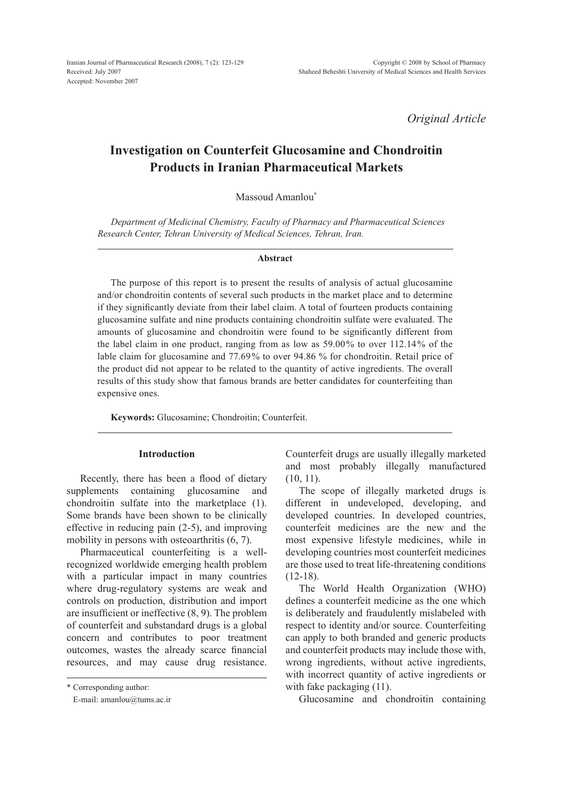*Original Article*

# **Investigation on Counterfeit Glucosamine and Chondroitin Products in Iranian Pharmaceutical Markets**

Massoud Amanlou\*

*Department of Medicinal Chemistry, Faculty of Pharmacy and Pharmaceutical Sciences Research Center, Tehran University of Medical Sciences, Tehran, Iran.*

#### **Abstract**

The purpose of this report is to present the results of analysis of actual glucosamine and/or chondroitin contents of several such products in the market place and to determine if they significantly deviate from their label claim. A total of fourteen products containing glucosamine sulfate and nine products containing chondroitin sulfate were evaluated. The amounts of glucosamine and chondroitin were found to be significantly different from the label claim in one product, ranging from as low as 59.00% to over 112.14% of the lable claim for glucosamine and 77.69% to over 94.86 % for chondroitin. Retail price of the product did not appear to be related to the quantity of active ingredients. The overall results of this study show that famous brands are better candidates for counterfeiting than expensive ones.

**Keywords:** Glucosamine; Chondroitin; Counterfeit.

# **Introduction**

Recently, there has been a flood of dietary supplements containing glucosamine and chondroitin sulfate into the marketplace (1). Some brands have been shown to be clinically effective in reducing pain (2-5), and improving mobility in persons with osteoarthritis (6, 7).

Pharmaceutical counterfeiting is a wellrecognized worldwide emerging health problem with a particular impact in many countries where drug-regulatory systems are weak and controls on production, distribution and import are insufficient or ineffective (8, 9). The problem of counterfeit and substandard drugs is a global concern and contributes to poor treatment outcomes, wastes the already scarce financial resources, and may cause drug resistance.

\* Corresponding author:

E-mail: amanlou@tums.ac.ir

Counterfeit drugs are usually illegally marketed and most probably illegally manufactured (10, 11).

The scope of illegally marketed drugs is different in undeveloped, developing, and developed countries. In developed countries, counterfeit medicines are the new and the most expensive lifestyle medicines, while in developing countries most counterfeit medicines are those used to treat life-threatening conditions  $(12-18).$ 

The World Health Organization (WHO) defines a counterfeit medicine as the one which is deliberately and fraudulently mislabeled with respect to identity and/or source. Counterfeiting can apply to both branded and generic products and counterfeit products may include those with, wrong ingredients, without active ingredients, with incorrect quantity of active ingredients or with fake packaging  $(11)$ .

Glucosamine and chondroitin containing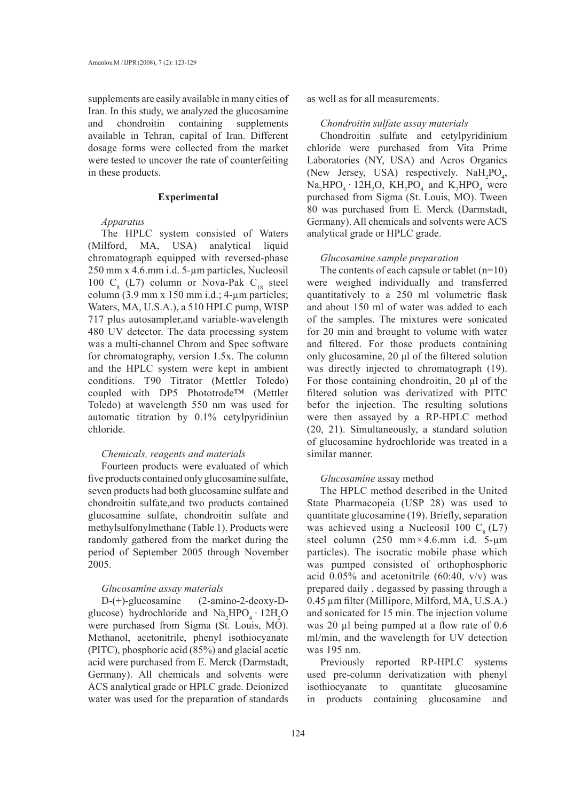supplements are easily available in many cities of Iran. In this study, we analyzed the glucosamine and chondroitin containing supplements available in Tehran, capital of Iran. Different dosage forms were collected from the market were tested to uncover the rate of counterfeiting in these products.

#### **Experimental**

#### *Apparatus*

The HPLC system consisted of Waters (Milford, MA, USA) analytical liquid chromatograph equipped with reversed-phase 250 mm x 4.6.mm i.d. 5-µm particles, Nucleosil 100  $C_8$  (L7) column or Nova-Pak  $C_{18}$  steel column  $(3.9 \text{ mm} \times 150 \text{ mm} \text{ i.d.}; 4\text{-}\mu\text{m} \text{ particles};$ Waters, MA, U.S.A.), a 510 HPLC pump, WISP 717 plus autosampler,and variable-wavelength 480 UV detector. The data processing system was a multi-channel Chrom and Spec software for chromatography, version 1.5x. The column and the HPLC system were kept in ambient conditions. T90 Titrator (Mettler Toledo) coupled with DP5 Phototrode™ (Mettler Toledo) at wavelength 550 nm was used for automatic titration by 0.1% cetylpyridiniun chloride.

# *Chemicals, reagents and materials*

Fourteen products were evaluated of which five products contained only glucosamine sulfate, seven products had both glucosamine sulfate and chondroitin sulfate,and two products contained glucosamine sulfate, chondroitin sulfate and methylsulfonylmethane (Table 1). Products were randomly gathered from the market during the period of September 2005 through November 2005.

#### *Glucosamine assay materials*

D-(+)-glucosamine (2-amino-2-deoxy-Dglucose) hydrochloride and  $\text{Na}_2\text{HPO}_4 \cdot 12\text{H}_2\text{O}$ were purchased from Sigma (St. Louis, MO). Methanol, acetonitrile, phenyl isothiocyanate (PITC), phosphoric acid (85%) and glacial acetic acid were purchased from E. Merck (Darmstadt, Germany). All chemicals and solvents were ACS analytical grade or HPLC grade. Deionized water was used for the preparation of standards

as well as for all measurements.

## *Chondroitin sulfate assay materials*

Chondroitin sulfate and cetylpyridinium chloride were purchased from Vita Prime Laboratories (NY, USA) and Acros Organics (New Jersey, USA) respectively.  $\text{NaH}_2\text{PO}_4$ ,  $Na<sub>2</sub>HPO<sub>4</sub> \cdot 12H<sub>2</sub>O$ ,  $KH<sub>2</sub>PO<sub>4</sub>$  and  $K<sub>2</sub>HPO<sub>4</sub>$  were purchased from Sigma (St. Louis, MO). Tween 80 was purchased from E. Merck (Darmstadt, Germany). All chemicals and solvents were ACS analytical grade or HPLC grade.

#### *Glucosamine sample preparation*

The contents of each capsule or tablet  $(n=10)$ were weighed individually and transferred quantitatively to a 250 ml volumetric flask and about 150 ml of water was added to each of the samples. The mixtures were sonicated for 20 min and brought to volume with water and filtered. For those products containing only glucosamine, 20 μl of the filtered solution was directly injected to chromatograph (19). For those containing chondroitin, 20 μl of the filtered solution was derivatized with PITC befor the injection. The resulting solutions were then assayed by a RP-HPLC method (20, 21). Simultaneously, a standard solution of glucosamine hydrochloride was treated in a similar manner.

## *Glucosamine* assay method

The HPLC method described in the United State Pharmacopeia (USP 28) was used to quantitate glucosamine (19). Briefly, separation was achieved using a Nucleosil 100  $C_8$  (L7) steel column (250 mm×4.6.mm i.d. 5-µm particles). The isocratic mobile phase which was pumped consisted of orthophosphoric acid  $0.05\%$  and acetonitrile (60:40, v/v) was prepared daily , degassed by passing through a 0.45 µm filter (Millipore, Milford, MA, U.S.A.) and sonicated for 15 min. The injection volume was 20 µl being pumped at a flow rate of 0.6 ml/min, and the wavelength for UV detection was 195 nm.

Previously reported RP-HPLC systems used pre-column derivatization with phenyl isothiocyanate to quantitate glucosamine in products containing glucosamine and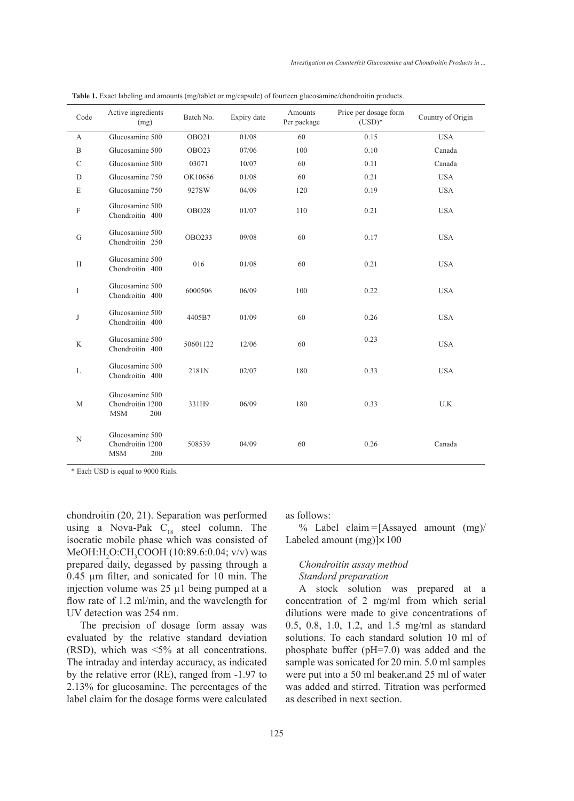| Code             | Active ingredients<br>(mg)                               | Batch No.     | Expiry date | Amounts<br>Per package | Price per dosage form<br>$(USD)*$ | Country of Origin |
|------------------|----------------------------------------------------------|---------------|-------------|------------------------|-----------------------------------|-------------------|
| A                | Glucosamine 500                                          | OBO21         | 01/08       | 60                     | 0.15                              | <b>USA</b>        |
| $\boldsymbol{B}$ | Glucosamine 500                                          | OBO23         | 07/06       | 100                    | 0.10                              | Canada            |
| $\mathcal{C}$    | Glucosamine 500                                          | 03071         | 10/07       | 60                     | 0.11                              | Canada            |
| D                | Glucosamine 750                                          | OK10686       | 01/08       | 60                     | 0.21                              | <b>USA</b>        |
| E                | Glucosamine 750                                          | 927SW         | 04/09       | 120                    | 0.19                              | <b>USA</b>        |
| $\mathbf F$      | Glucosamine 500<br>Chondroitin 400                       | <b>OBO28</b>  | 01/07       | 110                    | 0.21                              | <b>USA</b>        |
| G                | Glucosamine 500<br>Chondroitin 250                       | <b>OBO233</b> | 09/08       | 60                     | 0.17                              | <b>USA</b>        |
| H                | Glucosamine 500<br>Chondroitin 400                       | 016           | 01/08       | 60                     | 0.21                              | <b>USA</b>        |
| I                | Glucosamine 500<br>Chondroitin 400                       | 6000506       | 06/09       | 100                    | 0.22                              | <b>USA</b>        |
| J                | Glucosamine 500<br>Chondroitin 400                       | 4405B7        | 01/09       | 60                     | 0.26                              | <b>USA</b>        |
| K                | Glucosamine 500<br>Chondroitin 400                       | 50601122      | 12/06       | 60                     | 0.23                              | <b>USA</b>        |
| L                | Glucosamine 500<br>Chondroitin 400                       | 2181N         | 02/07       | 180                    | 0.33                              | <b>USA</b>        |
| M                | Glucosamine 500<br>Chondroitin 1200<br><b>MSM</b><br>200 | 331H9         | 06/09       | 180                    | 0.33                              | U.K               |
| N                | Glucosamine 500<br>Chondroitin 1200<br><b>MSM</b><br>200 | 508539        | 04/09       | 60                     | 0.26                              | Canada            |

**Table 1.** Exact labeling and amounts (mg/tablet or mg/capsule) of fourteen glucosamine/chondroitin products.

\* Each USD is equal to 9000 Rials.

chondroitin (20, 21). Separation was performed using a Nova-Pak  $C_{18}$  steel column. The isocratic mobile phase which was consisted of MeOH:H<sub>2</sub>O:CH<sub>3</sub>COOH (10:89.6:0.04; v/v) was prepared daily, degassed by passing through a 0.45 µm filter, and sonicated for 10 min. The injection volume was 25 µ1 being pumped at a flow rate of 1.2 ml/min, and the wavelength for UV detection was 254 nm.

The precision of dosage form assay was evaluated by the relative standard deviation (RSD), which was <5% at all concentrations. The intraday and interday accuracy, as indicated by the relative error (RE), ranged from -1.97 to 2.13% for glucosamine. The percentages of the label claim for the dosage forms were calculated as follows:

% Label claim =  $[Assayed amount (mg)/$ Labeled amount  $(mg)$   $\times$  100

# *Chondroitin assay method Standard preparation*

A stock solution was prepared at a concentration of 2 mg/ml from which serial dilutions were made to give concentrations of 0.5, 0.8, 1.0, 1.2, and 1.5 mg/ml as standard solutions. To each standard solution 10 ml of phosphate buffer (pH=7.0) was added and the sample was sonicated for 20 min. 5.0 ml samples were put into a 50 ml beaker,and 25 ml of water was added and stirred. Titration was performed as described in next section.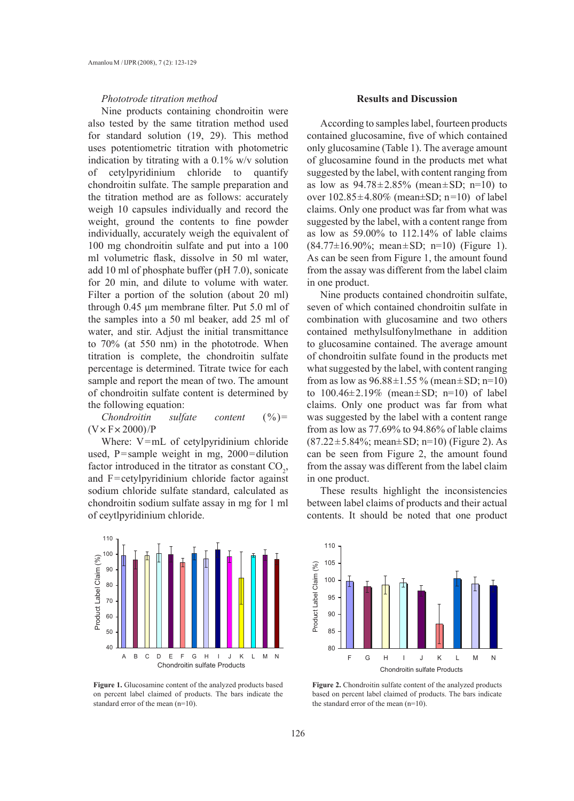## *Phototrode titration method*

Nine products containing chondroitin were also tested by the same titration method used for standard solution (19, 29). This method uses potentiometric titration with photometric indication by titrating with a  $0.1\%$  w/v solution of cetylpyridinium chloride to quantify chondroitin sulfate. The sample preparation and the titration method are as follows: accurately weigh 10 capsules individually and record the weight, ground the contents to fine powder individually, accurately weigh the equivalent of 100 mg chondroitin sulfate and put into a 100 ml volumetric flask, dissolve in 50 ml water, add 10 ml of phosphate buffer (pH 7.0), sonicate for 20 min, and dilute to volume with water. Filter a portion of the solution (about 20 ml) through 0.45 μm membrane filter. Put 5.0 ml of the samples into a 50 ml beaker, add 25 ml of water, and stir. Adjust the initial transmittance to 70% (at 550 nm) in the phototrode. When titration is complete, the chondroitin sulfate percentage is determined. Titrate twice for each sample and report the mean of two. The amount of chondroitin sulfate content is determined by the following equation:

*Chondroitin sulfate content* (%)=  $(V \times F \times 2000)/P$ 

Where: V=mL of cetylpyridinium chloride used, P=sample weight in mg, 2000=dilution factor introduced in the titrator as constant  $CO<sub>2</sub>$ , and F=cetylpyridinium chloride factor against sodium chloride sulfate standard, calculated as chondroitin sodium sulfate assay in mg for 1 ml of ceytlpyridinium chloride.



Figure 1. Glucosamine content of the analyzed products based on percent label claimed of products. The bars indicate the standard error of the mean (n=10).

#### **Results and Discussion**

According to samples label, fourteen products contained glucosamine, five of which contained only glucosamine (Table 1). The average amount of glucosamine found in the products met what suggested by the label, with content ranging from as low as  $94.78 \pm 2.85\%$  (mean  $\pm$  SD; n=10) to over  $102.85 \pm 4.80\%$  (mean $\pm SD$ ; n=10) of label claims. Only one product was far from what was suggested by the label, with a content range from as low as 59.00% to 112.14% of lable claims  $(84.77 \pm 16.90\%;$  mean $\pm$ SD; n=10) (Figure 1). As can be seen from Figure 1, the amount found from the assay was different from the label claim in one product.

Nine products contained chondroitin sulfate, seven of which contained chondroitin sulfate in combination with glucosamine and two others contained methylsulfonylmethane in addition to glucosamine contained. The average amount of chondroitin sulfate found in the products met what suggested by the label, with content ranging from as low as  $96.88 \pm 1.55 \%$  (mean  $\pm$  SD; n=10) to  $100.46 \pm 2.19\%$  (mean  $\pm$  SD; n=10) of label claims. Only one product was far from what was suggested by the label with a content range from as low as 77.69% to 94.86% of lable claims  $(87.22 \pm 5.84\%; \text{mean} \pm \text{SD}; \text{n} = 10)$  (Figure 2). As can be seen from Figure 2, the amount found from the assay was different from the label claim in one product.

These results highlight the inconsistencies between label claims of products and their actual contents. It should be noted that one product



Figure 2. Chondroitin sulfate content of the analyzed products based on percent label claimed of products. The bars indicate the standard error of the mean (n=10).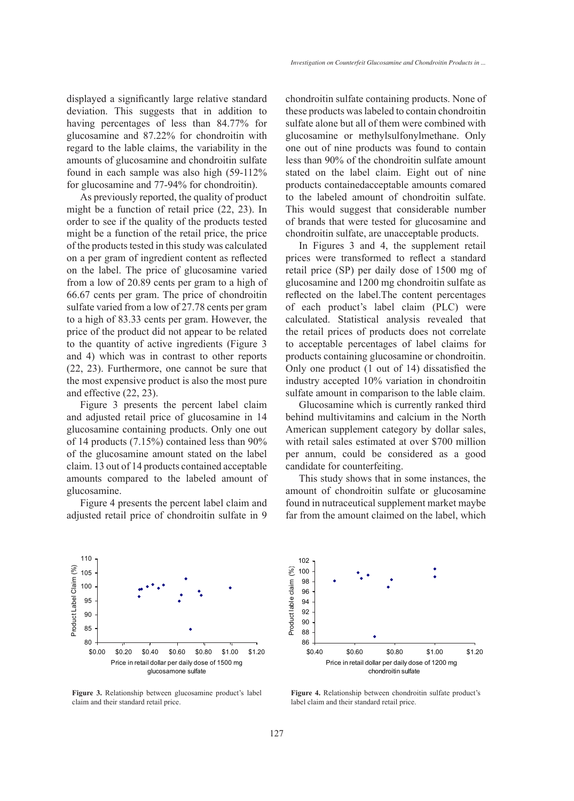displayed a significantly large relative standard deviation. This suggests that in addition to having percentages of less than 84.77% for glucosamine and 87.22% for chondroitin with regard to the lable claims, the variability in the amounts of glucosamine and chondroitin sulfate found in each sample was also high (59-112% for glucosamine and 77-94% for chondroitin).

As previously reported, the quality of product might be a function of retail price (22, 23). In order to see if the quality of the products tested might be a function of the retail price, the price of the products tested in this study was calculated on a per gram of ingredient content as reflected on the label. The price of glucosamine varied from a low of 20.89 cents per gram to a high of 66.67 cents per gram. The price of chondroitin sulfate varied from a low of 27.78 cents per gram to a high of 83.33 cents per gram. However, the price of the product did not appear to be related to the quantity of active ingredients (Figure 3 and 4) which was in contrast to other reports (22, 23). Furthermore, one cannot be sure that the most expensive product is also the most pure and effective (22, 23).

Figure 3 presents the percent label claim and adjusted retail price of glucosamine in 14 glucosamine containing products. Only one out of 14 products (7.15%) contained less than 90% of the glucosamine amount stated on the label claim. 13 out of 14 products contained acceptable amounts compared to the labeled amount of glucosamine.

Figure 4 presents the percent label claim and adjusted retail price of chondroitin sulfate in 9 chondroitin sulfate containing products. None of these products was labeled to contain chondroitin sulfate alone but all of them were combined with glucosamine or methylsulfonylmethane. Only one out of nine products was found to contain less than 90% of the chondroitin sulfate amount stated on the label claim. Eight out of nine products containedacceptable amounts comared to the labeled amount of chondroitin sulfate. This would suggest that considerable number of brands that were tested for glucosamine and chondroitin sulfate, are unacceptable products.

In Figures 3 and 4, the supplement retail prices were transformed to reflect a standard retail price (SP) per daily dose of 1500 mg of glucosamine and 1200 mg chondroitin sulfate as reflected on the label.The content percentages of each product's label claim (PLC) were calculated. Statistical analysis revealed that the retail prices of products does not correlate to acceptable percentages of label claims for products containing glucosamine or chondroitin. Only one product (1 out of 14) dissatisfied the industry accepted 10% variation in chondroitin sulfate amount in comparison to the lable claim.

Glucosamine which is currently ranked third behind multivitamins and calcium in the North American supplement category by dollar sales, with retail sales estimated at over \$700 million per annum, could be considered as a good candidate for counterfeiting.

This study shows that in some instances, the amount of chondroitin sulfate or glucosamine found in nutraceutical supplement market maybe far from the amount claimed on the label, which



**Figure 3.** Relationship between glucosamine product's label claim and their standard retail price.



**Figure 4.** Relationship between chondroitin sulfate product's label claim and their standard retail price.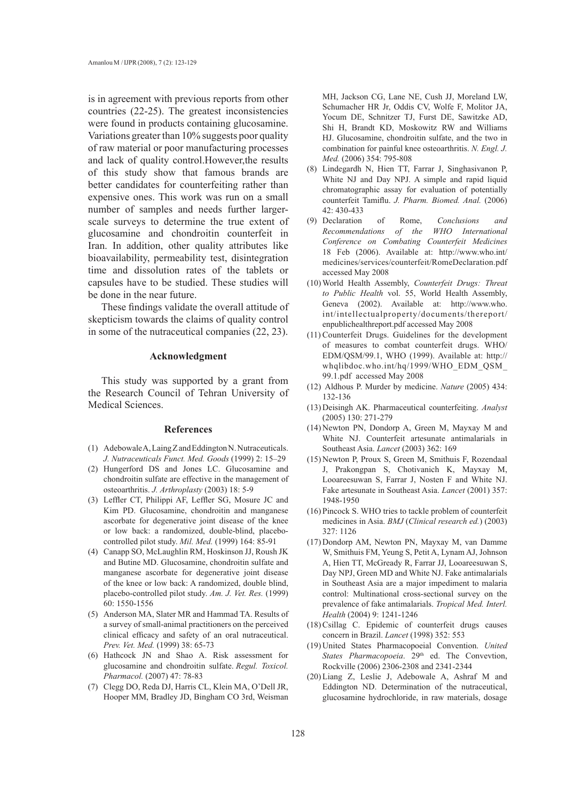is in agreement with previous reports from other countries (22-25). The greatest inconsistencies were found in products containing glucosamine. Variations greater than 10% suggests poor quality of raw material or poor manufacturing processes and lack of quality control.However,the results of this study show that famous brands are better candidates for counterfeiting rather than expensive ones. This work was run on a small number of samples and needs further largerscale surveys to determine the true extent of glucosamine and chondroitin counterfeit in Iran. In addition, other quality attributes like bioavailability, permeability test, disintegration time and dissolution rates of the tablets or capsules have to be studied. These studies will be done in the near future.

These findings validate the overall attitude of skepticism towards the claims of quality control in some of the nutraceutical companies (22, 23).

# **Acknowledgment**

This study was supported by a grant from the Research Council of Tehran University of Medical Sciences.

#### **References**

- Adebowale A, Laing Z and Eddington N. Nutraceuticals. (1) *J. Nutraceuticals Funct. Med. Goods* (1999) 2: 15–29
- Hungerford DS and Jones LC. Glucosamine and (2) chondroitin sulfate are effective in the management of osteoarthritis. *J. Arthroplasty* (2003) 18: 5-9
- Leffler CT, Philippi AF, Leffler SG, Mosure JC and (3) Kim PD. Glucosamine, chondroitin and manganese ascorbate for degenerative joint disease of the knee or low back: a randomized, double-blind, placebocontrolled pilot study. *Mil. Med.* (1999) 164: 85-91
- Canapp SO, McLaughlin RM, Hoskinson JJ, Roush JK (4) and Butine MD. Glucosamine, chondroitin sulfate and manganese ascorbate for degenerative joint disease of the knee or low back: A randomized, double blind, placebo-controlled pilot study. *Am. J. Vet. Res.* (1999) 60: 1550-1556
- (5) Anderson MA, Slater MR and Hammad TA. Results of a survey of small-animal practitioners on the perceived clinical efficacy and safety of an oral nutraceutical. *Prev. Vet. Med.* (1999) 38: 65-73
- (6) Hathcock JN and Shao A. Risk assessment for glucosamine and chondroitin sulfate. *Regul. Toxicol. Pharmacol.* (2007) 47: 78-83
- (7) Clegg DO, Reda DJ, Harris CL, Klein MA, O'Dell JR, Hooper MM, Bradley JD, Bingham CO 3rd, Weisman

MH, Jackson CG, Lane NE, Cush JJ, Moreland LW, Schumacher HR Jr, Oddis CV, Wolfe F, Molitor JA, Yocum DE, Schnitzer TJ, Furst DE, Sawitzke AD, Shi H, Brandt KD, Moskowitz RW and Williams HJ. Glucosamine, chondroitin sulfate, and the two in combination for painful knee osteoarthritis. *N. Engl. J. Med.* (2006) 354: 795-808

- Lindegardh N, Hien TT, Farrar J, Singhasivanon P, (8) White NJ and Day NPJ. A simple and rapid liquid chromatographic assay for evaluation of potentially counterfeit Tamiflu. *J. Pharm. Biomed. Anal.* (2006) 42: 430-433
- of Rome, *Conclusions and Recommendations of the WHO International Conference on Combating Counterfeit Medicines* 18 Feb (2006). Available at: http://www.who.int/ medicines/services/counterfeit/RomeDeclaration.pdf accessed May 2008 (9) Declaration
- World Health Assembly, *Counterfeit Drugs: Threat*  (10) *to Public Health* vol. 55, World Health Assembly, Geneva (2002). Available at: http://www.who. int/intellectualproperty/documents/thereport/ enpublichealthreport.pdf accessed May 2008
- $(11)$  Counterfeit Drugs. Guidelines for the development of measures to combat counterfeit drugs. WHO/ EDM/QSM/99.1, WHO (1999). Available at: http:// whqlibdoc.who.int/hq/1999/WHO\_EDM\_QSM\_ 99.1.pdf accessed May 2008
- Aldhous P. Murder by medicine. *Nature* (2005) 434: (12) 132-136
- (13) Deisingh AK. Pharmaceutical counterfeiting. Analyst (2005) 130: 271-279
- (14) Newton PN, Dondorp A, Green M, Mayxay M and White NJ. Counterfeit artesunate antimalarials in Southeast Asia. *Lancet* (2003) 362: 169
- (15) Newton P, Proux S, Green M, Smithuis F, Rozendaal J, Prakongpan S, Chotivanich K, Mayxay M, Looareesuwan S, Farrar J, Nosten F and White NJ. Fake artesunate in Southeast Asia. *Lancet* (2001) 357: 1948-1950
- $(16)$  Pincock S. WHO tries to tackle problem of counterfeit medicines in Asia. *BMJ* (*Clinical research ed.*) (2003) 327: 1126
- (17) Dondorp AM, Newton PN, Mayxay M, van Damme W, Smithuis FM, Yeung S, Petit A, Lynam AJ, Johnson A, Hien TT, McGready R, Farrar JJ, Looareesuwan S, Day NPJ, Green MD and White NJ. Fake antimalarials in Southeast Asia are a major impediment to malaria control: Multinational cross-sectional survey on the prevalence of fake antimalarials. *Tropical Med. Interl. Health* (2004) 9: 1241-1246
- $(18)$  Csillag C. Epidemic of counterfeit drugs causes concern in Brazil. *Lancet* (1998) 352: 553
- United States Pharmacopoeial Convention. *United*  (19) States Pharmacopoeia. 29<sup>th</sup> ed. The Convevtion, Rockville (2006) 2306-2308 and 2341-2344
- (20) Liang Z, Leslie J, Adebowale A, Ashraf M and Eddington ND. Determination of the nutraceutical, glucosamine hydrochloride, in raw materials, dosage